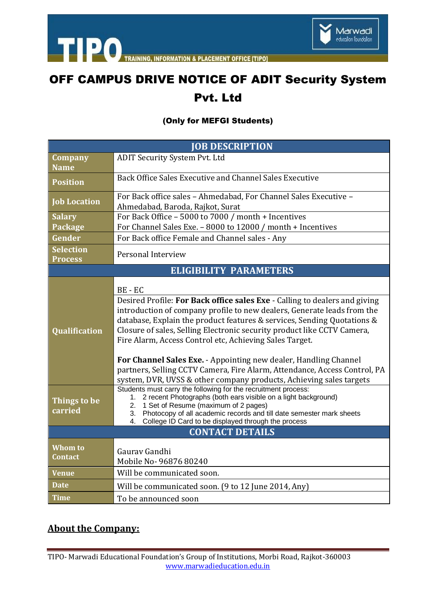



**INFORMATION & PLACEMENT OFFICE ITIPOI** 

## OFF CAMPUS DRIVE NOTICE OF ADIT Security System Pvt. Ltd

## (Only for MEFGI Students)

| <b>JOB DESCRIPTION</b>               |                                                                                                                                                                                                                                                                                                                                                                                                                                                                                                                                                                                                                                                                                                                                                                                           |
|--------------------------------------|-------------------------------------------------------------------------------------------------------------------------------------------------------------------------------------------------------------------------------------------------------------------------------------------------------------------------------------------------------------------------------------------------------------------------------------------------------------------------------------------------------------------------------------------------------------------------------------------------------------------------------------------------------------------------------------------------------------------------------------------------------------------------------------------|
| <b>Company</b>                       | <b>ADIT Security System Pvt. Ltd</b>                                                                                                                                                                                                                                                                                                                                                                                                                                                                                                                                                                                                                                                                                                                                                      |
| <b>Name</b>                          |                                                                                                                                                                                                                                                                                                                                                                                                                                                                                                                                                                                                                                                                                                                                                                                           |
| <b>Position</b>                      | Back Office Sales Executive and Channel Sales Executive                                                                                                                                                                                                                                                                                                                                                                                                                                                                                                                                                                                                                                                                                                                                   |
| <b>Job Location</b>                  | For Back office sales - Ahmedabad, For Channel Sales Executive -                                                                                                                                                                                                                                                                                                                                                                                                                                                                                                                                                                                                                                                                                                                          |
|                                      | Ahmedabad, Baroda, Rajkot, Surat                                                                                                                                                                                                                                                                                                                                                                                                                                                                                                                                                                                                                                                                                                                                                          |
| <b>Salary</b>                        | For Back Office - 5000 to 7000 / month + Incentives                                                                                                                                                                                                                                                                                                                                                                                                                                                                                                                                                                                                                                                                                                                                       |
| Package                              | For Channel Sales Exe. - 8000 to 12000 / month + Incentives                                                                                                                                                                                                                                                                                                                                                                                                                                                                                                                                                                                                                                                                                                                               |
| Gender                               | For Back office Female and Channel sales - Any                                                                                                                                                                                                                                                                                                                                                                                                                                                                                                                                                                                                                                                                                                                                            |
| <b>Selection</b><br><b>Process</b>   | Personal Interview                                                                                                                                                                                                                                                                                                                                                                                                                                                                                                                                                                                                                                                                                                                                                                        |
| <b>ELIGIBILITY PARAMETERS</b>        |                                                                                                                                                                                                                                                                                                                                                                                                                                                                                                                                                                                                                                                                                                                                                                                           |
| <b>Qualification</b><br>Things to be | BE-EC<br>Desired Profile: For Back office sales Exe - Calling to dealers and giving<br>introduction of company profile to new dealers, Generate leads from the<br>database, Explain the product features & services, Sending Quotations &<br>Closure of sales, Selling Electronic security product like CCTV Camera,<br>Fire Alarm, Access Control etc, Achieving Sales Target.<br>For Channel Sales Exe. - Appointing new dealer, Handling Channel<br>partners, Selling CCTV Camera, Fire Alarm, Attendance, Access Control, PA<br>system, DVR, UVSS & other company products, Achieving sales targets<br>Students must carry the following for the recruitment process:<br>1. 2 recent Photographs (both ears visible on a light background)<br>2. 1 Set of Resume (maximum of 2 pages) |
| carried                              | 3. Photocopy of all academic records and till date semester mark sheets<br>College ID Card to be displayed through the process<br>4.                                                                                                                                                                                                                                                                                                                                                                                                                                                                                                                                                                                                                                                      |
| <b>CONTACT DETAILS</b>               |                                                                                                                                                                                                                                                                                                                                                                                                                                                                                                                                                                                                                                                                                                                                                                                           |
| Whom to<br>Contact                   | Gaurav Gandhi<br>Mobile No-96876 80240                                                                                                                                                                                                                                                                                                                                                                                                                                                                                                                                                                                                                                                                                                                                                    |
| <b>Venue</b>                         | Will be communicated soon.                                                                                                                                                                                                                                                                                                                                                                                                                                                                                                                                                                                                                                                                                                                                                                |
| <b>Date</b>                          | Will be communicated soon. (9 to 12 June 2014, Any)                                                                                                                                                                                                                                                                                                                                                                                                                                                                                                                                                                                                                                                                                                                                       |
| <b>Time</b>                          | To be announced soon                                                                                                                                                                                                                                                                                                                                                                                                                                                                                                                                                                                                                                                                                                                                                                      |

## **About the Company:**